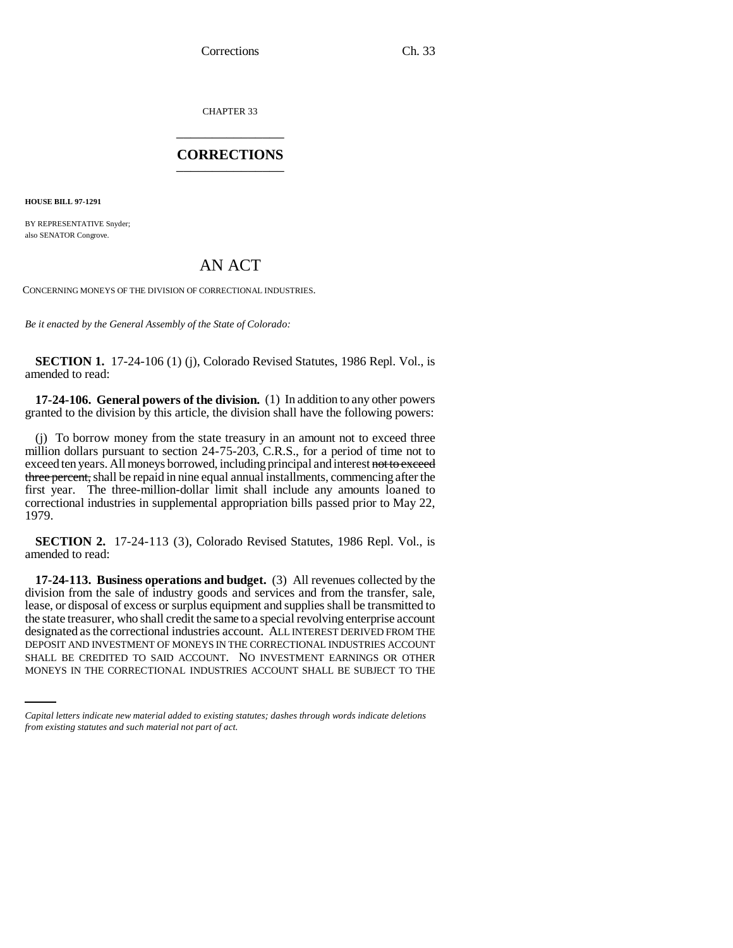Corrections Ch. 33

CHAPTER 33 \_\_\_\_\_\_\_\_\_\_\_\_\_\_\_

## **CORRECTIONS** \_\_\_\_\_\_\_\_\_\_\_\_\_\_\_

**HOUSE BILL 97-1291**

BY REPRESENTATIVE Snyder; also SENATOR Congrove.

## AN ACT

CONCERNING MONEYS OF THE DIVISION OF CORRECTIONAL INDUSTRIES.

*Be it enacted by the General Assembly of the State of Colorado:*

**SECTION 1.** 17-24-106 (1) (j), Colorado Revised Statutes, 1986 Repl. Vol., is amended to read:

**17-24-106. General powers of the division.** (1) In addition to any other powers granted to the division by this article, the division shall have the following powers:

(j) To borrow money from the state treasury in an amount not to exceed three million dollars pursuant to section 24-75-203, C.R.S., for a period of time not to exceed ten years. All moneys borrowed, including principal and interest not to exceed three percent, shall be repaid in nine equal annual installments, commencing after the first year. The three-million-dollar limit shall include any amounts loaned to correctional industries in supplemental appropriation bills passed prior to May 22, 1979.

**SECTION 2.** 17-24-113 (3), Colorado Revised Statutes, 1986 Repl. Vol., is amended to read:

DEPOSIT AND INVESTMENT OF MONEYS IN THE CORRECTIONAL INDUSTRIES ACCOUNT **17-24-113. Business operations and budget.** (3) All revenues collected by the division from the sale of industry goods and services and from the transfer, sale, lease, or disposal of excess or surplus equipment and supplies shall be transmitted to the state treasurer, who shall credit the same to a special revolving enterprise account designated as the correctional industries account. ALL INTEREST DERIVED FROM THE SHALL BE CREDITED TO SAID ACCOUNT. NO INVESTMENT EARNINGS OR OTHER MONEYS IN THE CORRECTIONAL INDUSTRIES ACCOUNT SHALL BE SUBJECT TO THE

*Capital letters indicate new material added to existing statutes; dashes through words indicate deletions from existing statutes and such material not part of act.*